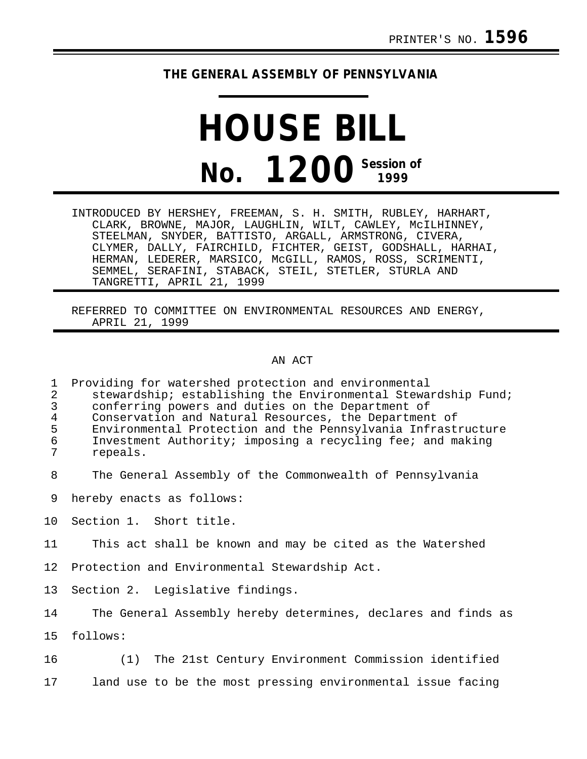## **THE GENERAL ASSEMBLY OF PENNSYLVANIA**

## **HOUSE BILL No. 1200 Session of**

INTRODUCED BY HERSHEY, FREEMAN, S. H. SMITH, RUBLEY, HARHART, CLARK, BROWNE, MAJOR, LAUGHLIN, WILT, CAWLEY, McILHINNEY, STEELMAN, SNYDER, BATTISTO, ARGALL, ARMSTRONG, CIVERA, CLYMER, DALLY, FAIRCHILD, FICHTER, GEIST, GODSHALL, HARHAI, HERMAN, LEDERER, MARSICO, McGILL, RAMOS, ROSS, SCRIMENTI, SEMMEL, SERAFINI, STABACK, STEIL, STETLER, STURLA AND TANGRETTI, APRIL 21, 1999

REFERRED TO COMMITTEE ON ENVIRONMENTAL RESOURCES AND ENERGY, APRIL 21, 1999

## AN ACT

1 Providing for watershed protection and environmental<br>2 Stewardship; establishing the Environmental Stewa: 2 stewardship; establishing the Environmental Stewardship Fund;<br>3 conferring powers and duties on the Department of 3 conferring powers and duties on the Department of 4 Conservation and Natural Resources, the Department of<br>5 Environmental Protection and the Pennsylvania Infrast 5 Environmental Protection and the Pennsylvania Infrastructure<br>6 Thyestment Authority: imposing a recycling fee; and making 6 Investment Authority; imposing a recycling fee; and making 7 repeals.

8 The General Assembly of the Commonwealth of Pennsylvania

9 hereby enacts as follows:

10 Section 1. Short title.

11 This act shall be known and may be cited as the Watershed

12 Protection and Environmental Stewardship Act.

13 Section 2. Legislative findings.

14 The General Assembly hereby determines, declares and finds as

15 follows:

16 (1) The 21st Century Environment Commission identified 17 land use to be the most pressing environmental issue facing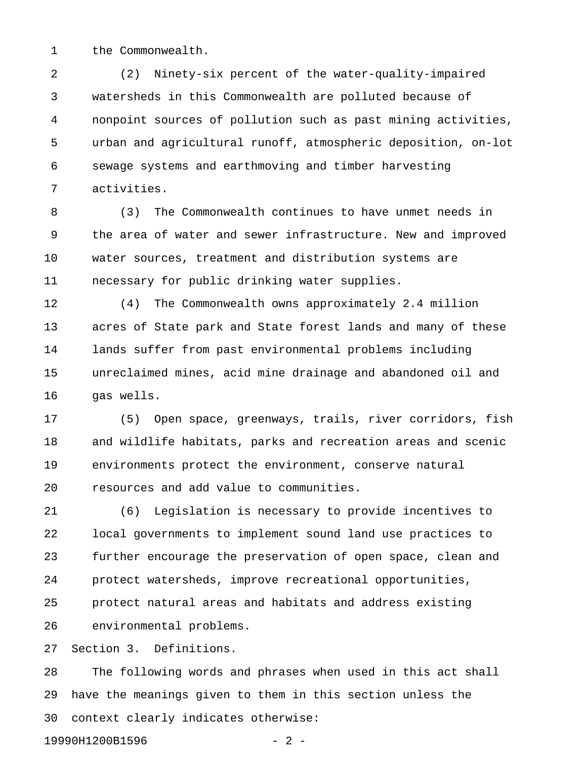1 the Commonwealth.

2 (2) Ninety-six percent of the water-quality-impaired 3 watersheds in this Commonwealth are polluted because of 4 nonpoint sources of pollution such as past mining activities, 5 urban and agricultural runoff, atmospheric deposition, on-lot 6 sewage systems and earthmoving and timber harvesting 7 activities.

8 (3) The Commonwealth continues to have unmet needs in 9 the area of water and sewer infrastructure. New and improved 10 water sources, treatment and distribution systems are 11 necessary for public drinking water supplies.

12 (4) The Commonwealth owns approximately 2.4 million 13 acres of State park and State forest lands and many of these 14 lands suffer from past environmental problems including 15 unreclaimed mines, acid mine drainage and abandoned oil and 16 gas wells.

17 (5) Open space, greenways, trails, river corridors, fish 18 and wildlife habitats, parks and recreation areas and scenic 19 environments protect the environment, conserve natural 20 resources and add value to communities.

21 (6) Legislation is necessary to provide incentives to 22 local governments to implement sound land use practices to 23 further encourage the preservation of open space, clean and 24 protect watersheds, improve recreational opportunities, 25 protect natural areas and habitats and address existing 26 environmental problems.

27 Section 3. Definitions.

28 The following words and phrases when used in this act shall 29 have the meanings given to them in this section unless the 30 context clearly indicates otherwise:

19990H1200B1596 - 2 -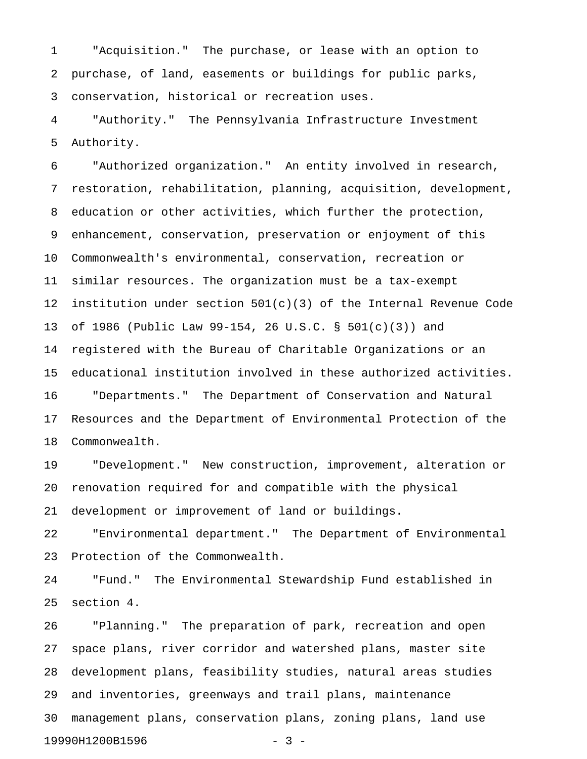1 "Acquisition." The purchase, or lease with an option to 2 purchase, of land, easements or buildings for public parks, 3 conservation, historical or recreation uses.

4 "Authority." The Pennsylvania Infrastructure Investment 5 Authority.

6 "Authorized organization." An entity involved in research, 7 restoration, rehabilitation, planning, acquisition, development, 8 education or other activities, which further the protection, 9 enhancement, conservation, preservation or enjoyment of this 10 Commonwealth's environmental, conservation, recreation or 11 similar resources. The organization must be a tax-exempt 12 institution under section  $501(c)(3)$  of the Internal Revenue Code 13 of 1986 (Public Law 99-154, 26 U.S.C. § 501(c)(3)) and 14 registered with the Bureau of Charitable Organizations or an 15 educational institution involved in these authorized activities. 16 "Departments." The Department of Conservation and Natural 17 Resources and the Department of Environmental Protection of the 18 Commonwealth.

19 "Development." New construction, improvement, alteration or 20 renovation required for and compatible with the physical

21 development or improvement of land or buildings.

22 "Environmental department." The Department of Environmental 23 Protection of the Commonwealth.

24 "Fund." The Environmental Stewardship Fund established in 25 section 4.

26 "Planning." The preparation of park, recreation and open 27 space plans, river corridor and watershed plans, master site 28 development plans, feasibility studies, natural areas studies 29 and inventories, greenways and trail plans, maintenance 30 management plans, conservation plans, zoning plans, land use 19990H1200B1596 - 3 -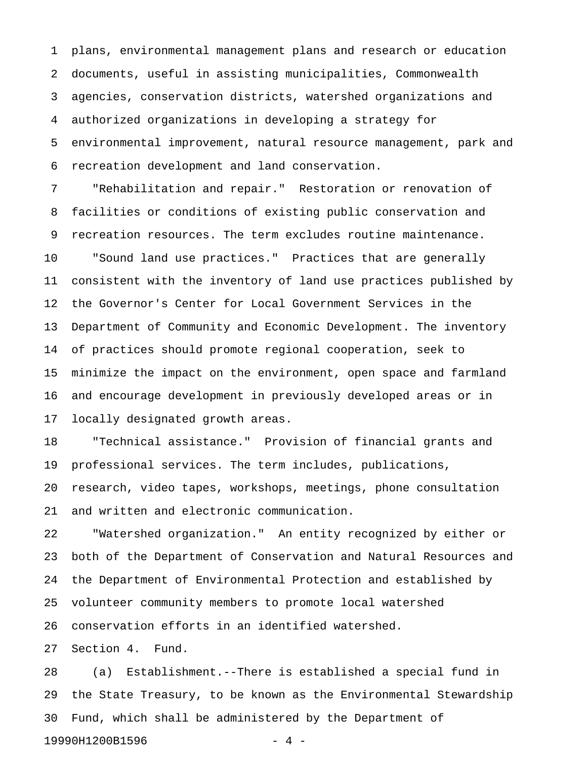1 plans, environmental management plans and research or education 2 documents, useful in assisting municipalities, Commonwealth 3 agencies, conservation districts, watershed organizations and 4 authorized organizations in developing a strategy for 5 environmental improvement, natural resource management, park and 6 recreation development and land conservation.

7 "Rehabilitation and repair." Restoration or renovation of 8 facilities or conditions of existing public conservation and 9 recreation resources. The term excludes routine maintenance. 10 "Sound land use practices." Practices that are generally 11 consistent with the inventory of land use practices published by 12 the Governor's Center for Local Government Services in the 13 Department of Community and Economic Development. The inventory 14 of practices should promote regional cooperation, seek to 15 minimize the impact on the environment, open space and farmland 16 and encourage development in previously developed areas or in 17 locally designated growth areas.

18 "Technical assistance." Provision of financial grants and 19 professional services. The term includes, publications, 20 research, video tapes, workshops, meetings, phone consultation 21 and written and electronic communication.

22 "Watershed organization." An entity recognized by either or 23 both of the Department of Conservation and Natural Resources and 24 the Department of Environmental Protection and established by 25 volunteer community members to promote local watershed 26 conservation efforts in an identified watershed.

27 Section 4. Fund.

28 (a) Establishment.--There is established a special fund in 29 the State Treasury, to be known as the Environmental Stewardship 30 Fund, which shall be administered by the Department of 19990H1200B1596 - 4 -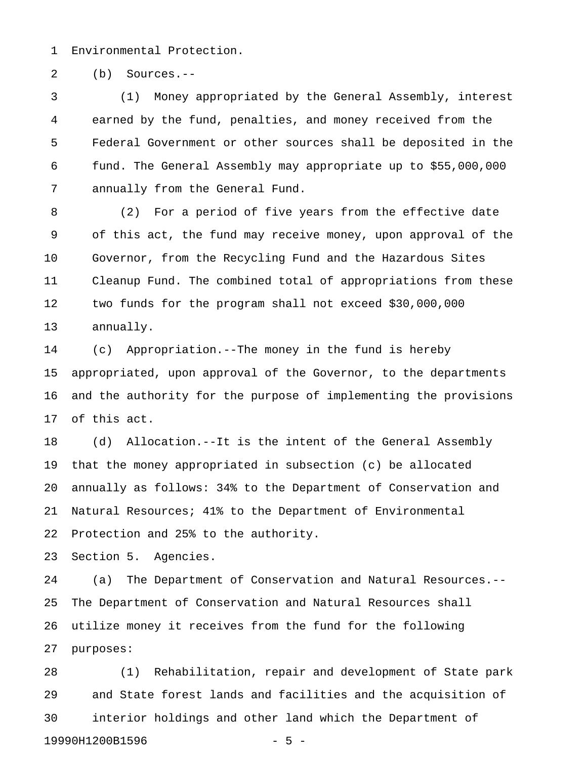1 Environmental Protection.

2 (b) Sources.--

3 (1) Money appropriated by the General Assembly, interest 4 earned by the fund, penalties, and money received from the 5 Federal Government or other sources shall be deposited in the 6 fund. The General Assembly may appropriate up to \$55,000,000 7 annually from the General Fund.

8 (2) For a period of five years from the effective date 9 of this act, the fund may receive money, upon approval of the 10 Governor, from the Recycling Fund and the Hazardous Sites 11 Cleanup Fund. The combined total of appropriations from these 12 two funds for the program shall not exceed \$30,000,000 13 annually.

14 (c) Appropriation.--The money in the fund is hereby 15 appropriated, upon approval of the Governor, to the departments 16 and the authority for the purpose of implementing the provisions 17 of this act.

18 (d) Allocation.--It is the intent of the General Assembly 19 that the money appropriated in subsection (c) be allocated 20 annually as follows: 34% to the Department of Conservation and 21 Natural Resources; 41% to the Department of Environmental 22 Protection and 25% to the authority.

23 Section 5. Agencies.

24 (a) The Department of Conservation and Natural Resources.-- 25 The Department of Conservation and Natural Resources shall 26 utilize money it receives from the fund for the following 27 purposes:

28 (1) Rehabilitation, repair and development of State park 29 and State forest lands and facilities and the acquisition of 30 interior holdings and other land which the Department of 19990H1200B1596 - 5 -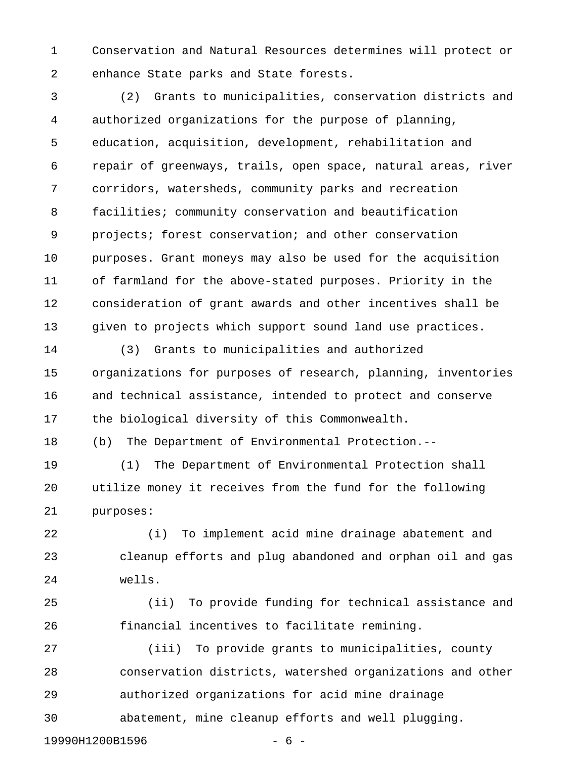1 Conservation and Natural Resources determines will protect or 2 enhance State parks and State forests.

3 (2) Grants to municipalities, conservation districts and 4 authorized organizations for the purpose of planning, 5 education, acquisition, development, rehabilitation and 6 repair of greenways, trails, open space, natural areas, river 7 corridors, watersheds, community parks and recreation 8 facilities; community conservation and beautification 9 projects; forest conservation; and other conservation 10 purposes. Grant moneys may also be used for the acquisition 11 of farmland for the above-stated purposes. Priority in the 12 consideration of grant awards and other incentives shall be 13 given to projects which support sound land use practices.

14 (3) Grants to municipalities and authorized 15 organizations for purposes of research, planning, inventories 16 and technical assistance, intended to protect and conserve 17 the biological diversity of this Commonwealth.

18 (b) The Department of Environmental Protection.--

19 (1) The Department of Environmental Protection shall 20 utilize money it receives from the fund for the following 21 purposes:

22 (i) To implement acid mine drainage abatement and 23 cleanup efforts and plug abandoned and orphan oil and gas 24 wells.

25 (ii) To provide funding for technical assistance and 26 financial incentives to facilitate remining.

27 (iii) To provide grants to municipalities, county 28 conservation districts, watershed organizations and other 29 authorized organizations for acid mine drainage 30 abatement, mine cleanup efforts and well plugging.

19990H1200B1596 - 6 -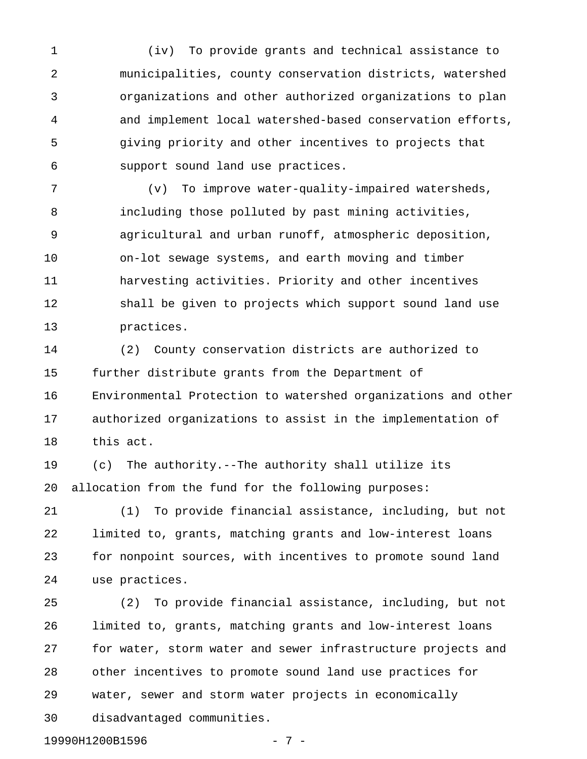1 (iv) To provide grants and technical assistance to 2 municipalities, county conservation districts, watershed 3 organizations and other authorized organizations to plan 4 and implement local watershed-based conservation efforts, 5 giving priority and other incentives to projects that 6 support sound land use practices.

7 (v) To improve water-quality-impaired watersheds, 8 including those polluted by past mining activities, 9 agricultural and urban runoff, atmospheric deposition, 10 on-lot sewage systems, and earth moving and timber 11 harvesting activities. Priority and other incentives 12 shall be given to projects which support sound land use 13 practices.

14 (2) County conservation districts are authorized to 15 further distribute grants from the Department of 16 Environmental Protection to watershed organizations and other 17 authorized organizations to assist in the implementation of 18 this act.

19 (c) The authority.--The authority shall utilize its 20 allocation from the fund for the following purposes:

21 (1) To provide financial assistance, including, but not 22 limited to, grants, matching grants and low-interest loans 23 for nonpoint sources, with incentives to promote sound land 24 use practices.

25 (2) To provide financial assistance, including, but not 26 limited to, grants, matching grants and low-interest loans 27 for water, storm water and sewer infrastructure projects and 28 other incentives to promote sound land use practices for 29 water, sewer and storm water projects in economically 30 disadvantaged communities.

19990H1200B1596 - 7 -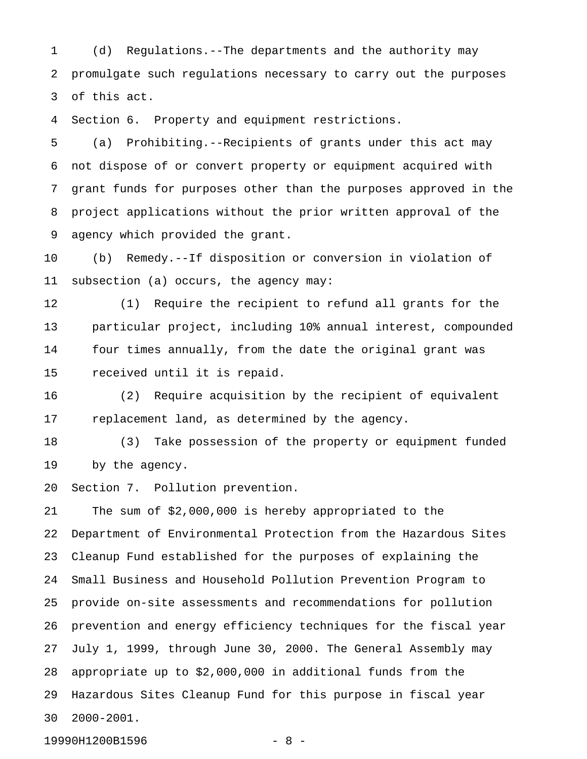1 (d) Regulations.--The departments and the authority may 2 promulgate such regulations necessary to carry out the purposes 3 of this act.

4 Section 6. Property and equipment restrictions.

5 (a) Prohibiting.--Recipients of grants under this act may 6 not dispose of or convert property or equipment acquired with 7 grant funds for purposes other than the purposes approved in the 8 project applications without the prior written approval of the 9 agency which provided the grant.

10 (b) Remedy.--If disposition or conversion in violation of 11 subsection (a) occurs, the agency may:

12 (1) Require the recipient to refund all grants for the 13 particular project, including 10% annual interest, compounded 14 four times annually, from the date the original grant was 15 received until it is repaid.

16 (2) Require acquisition by the recipient of equivalent 17 replacement land, as determined by the agency.

18 (3) Take possession of the property or equipment funded 19 by the agency.

20 Section 7. Pollution prevention.

21 The sum of \$2,000,000 is hereby appropriated to the 22 Department of Environmental Protection from the Hazardous Sites 23 Cleanup Fund established for the purposes of explaining the 24 Small Business and Household Pollution Prevention Program to 25 provide on-site assessments and recommendations for pollution 26 prevention and energy efficiency techniques for the fiscal year 27 July 1, 1999, through June 30, 2000. The General Assembly may 28 appropriate up to \$2,000,000 in additional funds from the 29 Hazardous Sites Cleanup Fund for this purpose in fiscal year 30 2000-2001.

19990H1200B1596 - 8 -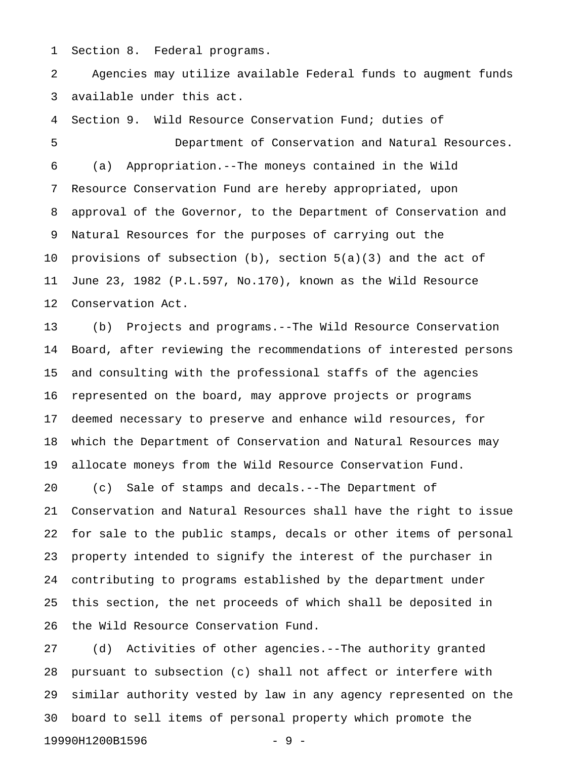1 Section 8. Federal programs.

2 Agencies may utilize available Federal funds to augment funds 3 available under this act.

4 Section 9. Wild Resource Conservation Fund; duties of 5 Department of Conservation and Natural Resources. 6 (a) Appropriation.--The moneys contained in the Wild 7 Resource Conservation Fund are hereby appropriated, upon 8 approval of the Governor, to the Department of Conservation and 9 Natural Resources for the purposes of carrying out the 10 provisions of subsection  $(b)$ , section  $5(a)(3)$  and the act of 11 June 23, 1982 (P.L.597, No.170), known as the Wild Resource 12 Conservation Act.

13 (b) Projects and programs.--The Wild Resource Conservation 14 Board, after reviewing the recommendations of interested persons 15 and consulting with the professional staffs of the agencies 16 represented on the board, may approve projects or programs 17 deemed necessary to preserve and enhance wild resources, for 18 which the Department of Conservation and Natural Resources may 19 allocate moneys from the Wild Resource Conservation Fund.

20 (c) Sale of stamps and decals.--The Department of 21 Conservation and Natural Resources shall have the right to issue 22 for sale to the public stamps, decals or other items of personal 23 property intended to signify the interest of the purchaser in 24 contributing to programs established by the department under 25 this section, the net proceeds of which shall be deposited in 26 the Wild Resource Conservation Fund.

27 (d) Activities of other agencies.--The authority granted 28 pursuant to subsection (c) shall not affect or interfere with 29 similar authority vested by law in any agency represented on the 30 board to sell items of personal property which promote the 19990H1200B1596 - 9 -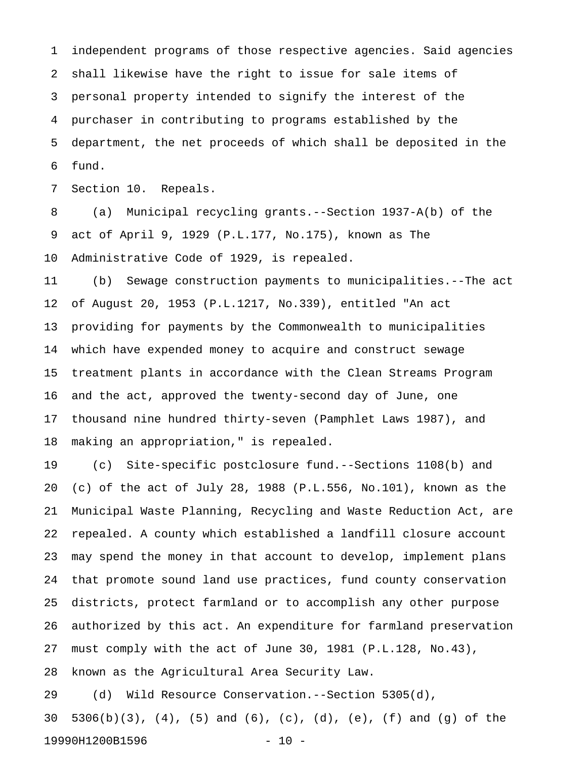1 independent programs of those respective agencies. Said agencies 2 shall likewise have the right to issue for sale items of 3 personal property intended to signify the interest of the 4 purchaser in contributing to programs established by the 5 department, the net proceeds of which shall be deposited in the 6 fund.

7 Section 10. Repeals.

8 (a) Municipal recycling grants.--Section 1937-A(b) of the 9 act of April 9, 1929 (P.L.177, No.175), known as The 10 Administrative Code of 1929, is repealed.

11 (b) Sewage construction payments to municipalities.--The act 12 of August 20, 1953 (P.L.1217, No.339), entitled "An act 13 providing for payments by the Commonwealth to municipalities 14 which have expended money to acquire and construct sewage 15 treatment plants in accordance with the Clean Streams Program 16 and the act, approved the twenty-second day of June, one 17 thousand nine hundred thirty-seven (Pamphlet Laws 1987), and 18 making an appropriation," is repealed.

19 (c) Site-specific postclosure fund.--Sections 1108(b) and 20 (c) of the act of July 28, 1988 (P.L.556, No.101), known as the 21 Municipal Waste Planning, Recycling and Waste Reduction Act, are 22 repealed. A county which established a landfill closure account 23 may spend the money in that account to develop, implement plans 24 that promote sound land use practices, fund county conservation 25 districts, protect farmland or to accomplish any other purpose 26 authorized by this act. An expenditure for farmland preservation 27 must comply with the act of June 30, 1981 (P.L.128, No.43), 28 known as the Agricultural Area Security Law.

29 (d) Wild Resource Conservation.--Section 5305(d), 30 5306(b)(3), (4), (5) and (6), (c), (d), (e), (f) and (g) of the 19990H1200B1596 - 10 -